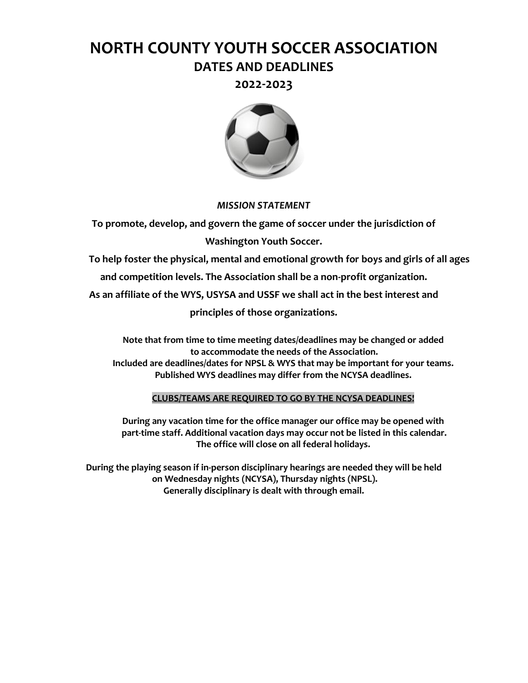# **NORTH COUNTY YOUTH SOCCER ASSOCIATION DATES AND DEADLINES**

**2022-2023**



#### *MISSION STATEMENT*

**To promote, develop, and govern the game of soccer under the jurisdiction of Washington Youth Soccer.**

**To help foster the physical, mental and emotional growth for boys and girls of all ages and competition levels. The Association shall be a non-profit organization.**

**As an affiliate of the WYS, USYSA and USSF we shall act in the best interest and** 

**principles of those organizations.**

**Note that from time to time meeting dates/deadlines may be changed or added to accommodate the needs of the Association. Included are deadlines/dates for NPSL & WYS that may be important for your teams. Published WYS deadlines may differ from the NCYSA deadlines.**

#### **CLUBS/TEAMS ARE REQUIRED TO GO BY THE NCYSA DEADLINES!**

**During any vacation time for the office manager our office may be opened with part-time staff. Additional vacation days may occur not be listed in this calendar. The office will close on all federal holidays.**

**During the playing season if in-person disciplinary hearings are needed they will be held on Wednesday nights (NCYSA), Thursday nights (NPSL). Generally disciplinary is dealt with through email.**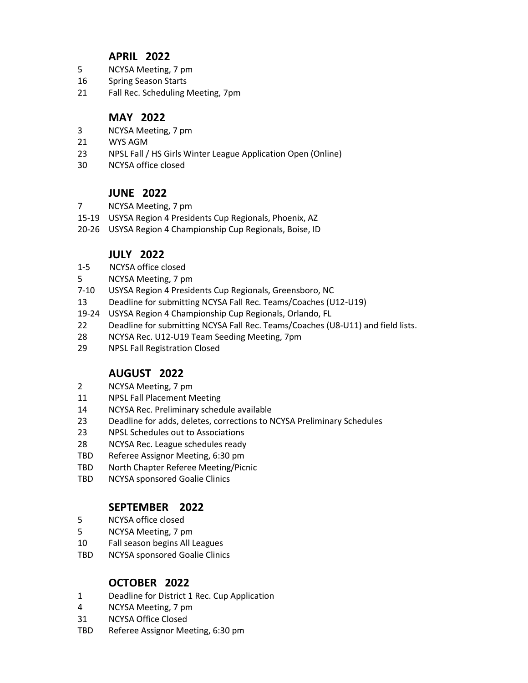## **APRIL 2022**

- 5 NCYSA Meeting, 7 pm
- 16 Spring Season Starts
- 21 Fall Rec. Scheduling Meeting, 7pm

## **MAY 2022**

- 3 NCYSA Meeting, 7 pm
- 21 WYS AGM
- 23 NPSL Fall / HS Girls Winter League Application Open (Online)
- 30 NCYSA office closed

# **JUNE 2022**

- 7 NCYSA Meeting, 7 pm
- 15-19 USYSA Region 4 Presidents Cup Regionals, Phoenix, AZ
- 20-26 USYSA Region 4 Championship Cup Regionals, Boise, ID

## **JULY 2022**

- 1-5 NCYSA office closed
- 5 NCYSA Meeting, 7 pm
- 7-10 USYSA Region 4 Presidents Cup Regionals, Greensboro, NC
- 13 Deadline for submitting NCYSA Fall Rec. Teams/Coaches (U12-U19)
- 19-24 USYSA Region 4 Championship Cup Regionals, Orlando, FL
- 22 Deadline for submitting NCYSA Fall Rec. Teams/Coaches (U8-U11) and field lists.
- 28 NCYSA Rec. U12-U19 Team Seeding Meeting, 7pm
- 29 NPSL Fall Registration Closed

# **AUGUST 2022**

- 2 NCYSA Meeting, 7 pm
- 11 NPSL Fall Placement Meeting
- 14 NCYSA Rec. Preliminary schedule available
- 23 Deadline for adds, deletes, corrections to NCYSA Preliminary Schedules
- 23 NPSL Schedules out to Associations
- 28 NCYSA Rec. League schedules ready
- TBD Referee Assignor Meeting, 6:30 pm
- TBD North Chapter Referee Meeting/Picnic
- TBD NCYSA sponsored Goalie Clinics

#### **SEPTEMBER 2022**

- 5 NCYSA office closed
- 5 NCYSA Meeting, 7 pm
- 10 Fall season begins All Leagues
- TBD NCYSA sponsored Goalie Clinics

#### **OCTOBER 2022**

- 1 Deadline for District 1 Rec. Cup Application
- 4 NCYSA Meeting, 7 pm
- 31 NCYSA Office Closed
- TBD Referee Assignor Meeting, 6:30 pm